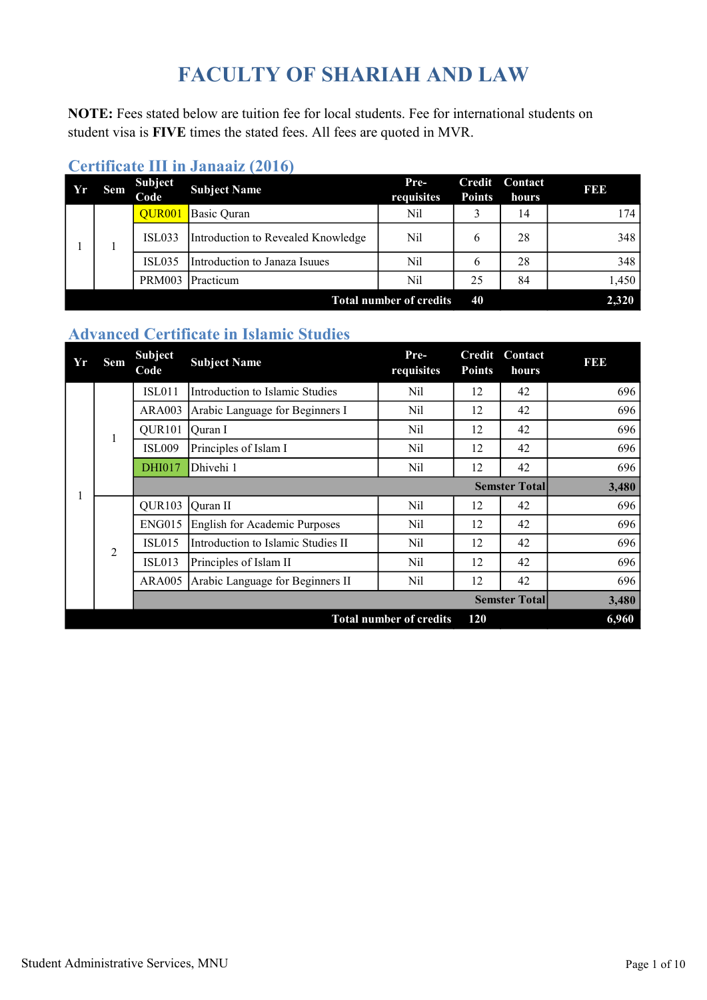# FACULTY OF SHARIAH AND LAW

NOTE: Fees stated below are tuition fee for local students. Fee for international students on student visa is FIVE times the stated fees. All fees are quoted in MVR.

| Yr                                   | Sem | <b>Subject</b><br>Code | <b>Subject Name</b>                | Pre-<br>requisites | Credit<br><b>Points</b> | Contact<br>hours | <b>BBB</b> |
|--------------------------------------|-----|------------------------|------------------------------------|--------------------|-------------------------|------------------|------------|
|                                      |     | OUR <sub>001</sub>     | Basic Quran                        | Nil                |                         | 14               | 174        |
|                                      |     | <b>ISL033</b>          | Introduction to Revealed Knowledge | Nil                | 6                       | 28               | 348        |
|                                      |     | <b>ISL035</b>          | Introduction to Janaza Isuues      | Nil                | 6                       | 28               | 348        |
|                                      |     | <b>PRM003</b>          | <b>Practicum</b>                   | Nil                | 25                      | 84               | 1,450      |
| 40<br><b>Total number of credits</b> |     |                        |                                    |                    |                         |                  |            |

#### Certificate III in Janaaiz (2016)

#### Advanced Certificate in Islamic Studies

| Yr                                    | Sem            | <b>Subject</b><br>Code | <b>Subject Name</b>                 | Pre-<br>requisites | <b>Credit</b><br><b>Points</b> | Contact<br>hours     | <b>BBB</b> |  |
|---------------------------------------|----------------|------------------------|-------------------------------------|--------------------|--------------------------------|----------------------|------------|--|
|                                       |                | <b>ISL011</b>          | Introduction to Islamic Studies     | Nil                | 12                             | 42                   | 696        |  |
|                                       |                | <b>ARA003</b>          | Arabic Language for Beginners I     | Nil                | 12                             | 42                   | 696        |  |
|                                       | 1              | QUR <sub>101</sub>     | Ouran I                             | Nil                | 12                             | 42                   | 696        |  |
|                                       |                | <b>ISL009</b>          | Principles of Islam I               | Nil                | 12                             | 42                   | 696        |  |
|                                       |                | <b>DHI017</b>          | Dhivehi 1                           | Nil                | 12                             | 42                   | 696        |  |
|                                       |                |                        |                                     |                    |                                | <b>Semster Total</b> | 3,480      |  |
| 1                                     |                | QUR103                 | <b>Quran II</b>                     | Nil                | 12                             | 42                   | 696        |  |
|                                       |                | <b>ENG015</b>          | English for Academic Purposes       | Nil                | 12                             | 42                   | 696        |  |
|                                       | $\overline{2}$ | <b>ISL015</b>          | IIntroduction to Islamic Studies II | Nil                | 12                             | 42                   | 696        |  |
|                                       |                | <b>ISL013</b>          | Principles of Islam II              | Nil                | 12                             | 42                   | 696        |  |
|                                       |                | <b>ARA005</b>          | Arabic Language for Beginners II    | Nil                | 12                             | 42                   | 696        |  |
|                                       |                |                        |                                     |                    |                                | <b>Semster Total</b> | 3,480      |  |
| <b>Total number of credits</b><br>120 |                |                        |                                     |                    |                                |                      |            |  |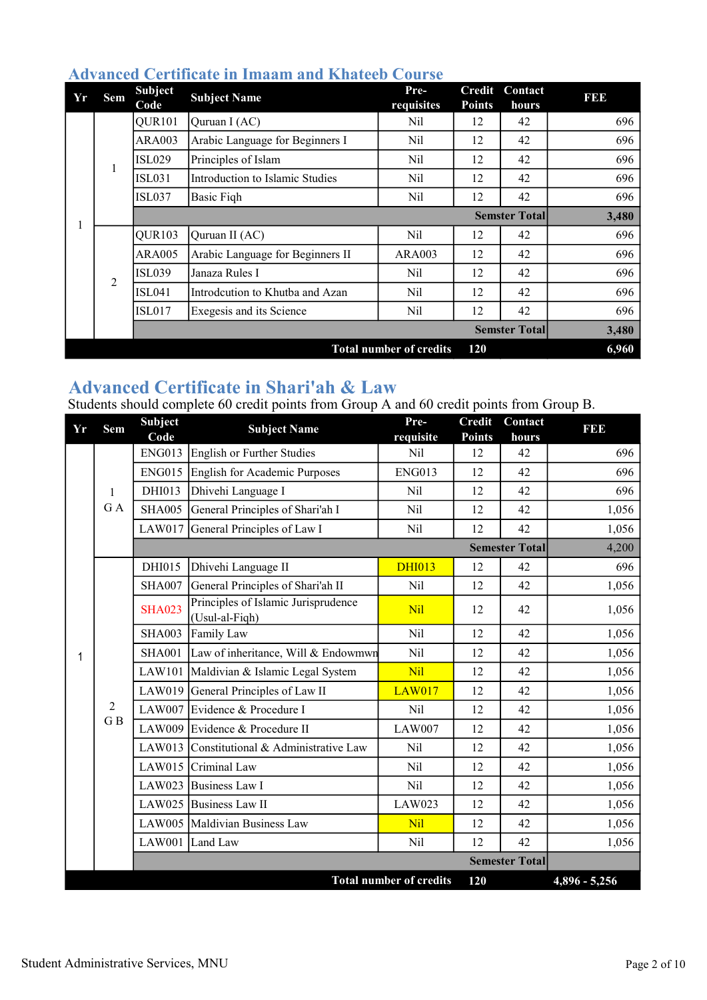| Yr | Sem            | <b>Subject</b><br>Code | <b>Subject Name</b>              | Pre-<br>requisites             | Credit<br><b>Points</b> | Contact<br>hours     | 131313 |
|----|----------------|------------------------|----------------------------------|--------------------------------|-------------------------|----------------------|--------|
|    |                | QUR101                 | Quruan I (AC)                    | Nil                            | 12                      | 42                   | 696    |
|    |                | <b>ARA003</b>          | Arabic Language for Beginners I  | Nil                            | 12                      | 42                   | 696    |
|    | $\mathbf{1}$   | <b>ISL029</b>          | Principles of Islam              | Nil                            | 12                      | 42                   | 696    |
|    |                | <b>ISL031</b>          | Introduction to Islamic Studies  | Nil                            | 12                      | 42                   | 696    |
|    |                | <b>ISL037</b>          | Basic Fiqh                       | Nil                            | 12                      | 42                   | 696    |
|    |                |                        |                                  |                                |                         | <b>Semster Total</b> | 3,480  |
| 1  |                | QUR103                 | Quruan II (AC)                   | Nil                            | 12                      | 42                   | 696    |
|    |                | <b>ARA005</b>          | Arabic Language for Beginners II | <b>ARA003</b>                  | 12                      | 42                   | 696    |
|    | $\overline{2}$ | <b>ISL039</b>          | Janaza Rules I                   | Nil                            | 12                      | 42                   | 696    |
|    |                | <b>ISL041</b>          | Introdcution to Khutba and Azan  | Nil                            | 12                      | 42                   | 696    |
|    |                | <b>ISL017</b>          | Exegesis and its Science         | Nil                            | 12                      | 42                   | 696    |
|    |                |                        |                                  |                                |                         | <b>Semster Total</b> | 3,480  |
|    |                |                        |                                  | <b>Total number of credits</b> | 120                     |                      | 6,960  |

#### Advanced Certificate in Imaam and Khateeb Course

#### Advanced Certificate in Shari'ah & Law

Students should complete 60 credit points from Group A and 60 credit points from Group B.

| Yr | Sem        | Subject<br>Code | <b>Subject Name</b>                                   | Pre-<br>requisite              | <b>Credit</b><br><b>Points</b> | Contact<br>hours      | <b>BBD</b>      |
|----|------------|-----------------|-------------------------------------------------------|--------------------------------|--------------------------------|-----------------------|-----------------|
|    |            | <b>ENG013</b>   | English or Further Studies                            | Nil                            | 12                             | 42                    | 696             |
|    |            | <b>ENG015</b>   | English for Academic Purposes                         | <b>ENG013</b>                  | 12                             | 42                    | 696             |
|    | 1          | DHI013          | Dhivehi Language I                                    | Nil                            | 12                             | 42                    | 696             |
|    | GA         | <b>SHA005</b>   | General Principles of Shari'ah I                      | Nil                            | 12                             | 42                    | 1,056           |
|    |            |                 | LAW017 General Principles of Law I                    | Nil                            | 12                             | 42                    | 1,056           |
|    |            |                 |                                                       |                                |                                | <b>Semester Total</b> | 4,200           |
|    |            | DHI015          | Dhivehi Language II                                   | <b>DHI013</b>                  | 12                             | 42                    | 696             |
|    |            | <b>SHA007</b>   | General Principles of Shari'ah II                     | Nil                            | 12                             | 42                    | 1,056           |
|    |            | <b>SHA023</b>   | Principles of Islamic Jurisprudence<br>(Usul-al-Fiqh) | Nil                            | 12                             | 42                    | 1,056           |
|    |            | <b>SHA003</b>   | Family Law                                            | Nil                            | 12                             | 42                    | 1,056           |
| 1  |            | <b>SHA001</b>   | Law of inheritance, Will & Endowmwn                   | Nil                            | 12                             | 42                    | 1,056           |
|    |            | LAW101          | Maldivian & Islamic Legal System                      | Nil                            | 12                             | 42                    | 1,056           |
|    |            |                 | LAW019 General Principles of Law II                   | <b>LAW017</b>                  | 12                             | 42                    | 1,056           |
|    | $\sqrt{2}$ |                 | LAW007 Evidence & Procedure I                         | Nil                            | 12                             | 42                    | 1,056           |
|    | GB         |                 | LAW009 Evidence & Procedure II                        | <b>LAW007</b>                  | 12                             | 42                    | 1,056           |
|    |            |                 | LAW013 Constitutional & Administrative Law            | Nil                            | 12                             | 42                    | 1,056           |
|    |            |                 | LAW015 Criminal Law                                   | Nil                            | 12                             | 42                    | 1,056           |
|    |            |                 | LAW023 Business Law I                                 | Nil                            | 12                             | 42                    | 1,056           |
|    |            |                 | LAW025 Business Law II                                | <b>LAW023</b>                  | 12                             | 42                    | 1,056           |
|    |            |                 | LAW005 Maldivian Business Law                         | Nil                            | 12                             | 42                    | 1,056           |
|    |            |                 | LAW001 Land Law                                       | Nil                            | 12                             | 42                    | 1,056           |
|    |            |                 |                                                       |                                |                                | <b>Semester Total</b> |                 |
|    |            |                 |                                                       | <b>Total number of credits</b> | 120                            |                       | $4,896 - 5,256$ |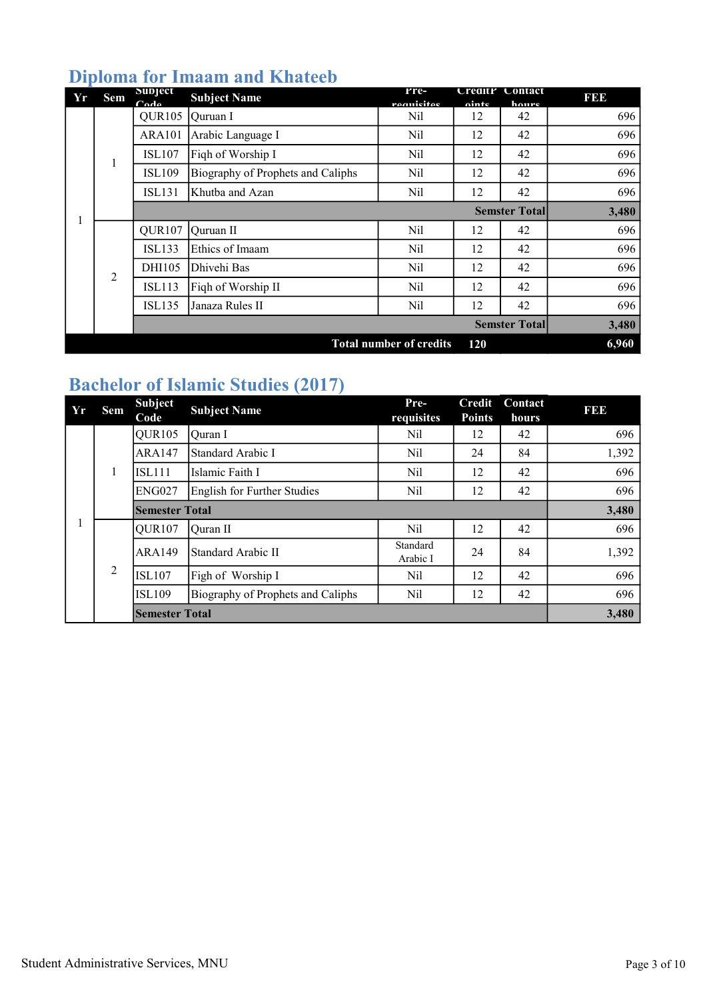## Diploma for Imaam and Khateeb

| Yr                                    | <b>Sem</b>     | Subject<br>$C_{\mathbf{A}}$ | <b>Subject Name</b>               | Pre-<br>raanisitas | Creditr<br>ninte | Contact<br>houre     | 3   3   3 |  |
|---------------------------------------|----------------|-----------------------------|-----------------------------------|--------------------|------------------|----------------------|-----------|--|
|                                       |                | QUR <sub>105</sub>          | Ouruan I                          | Nil                | 12               | 42                   | 696       |  |
|                                       |                | <b>ARA101</b>               | Arabic Language I                 | Nil                | 12               | 42                   | 696       |  |
|                                       |                | <b>ISL107</b>               | Figh of Worship I                 | Nil                | 12               | 42                   | 696       |  |
|                                       | $\mathbf{1}$   | <b>ISL109</b>               | Biography of Prophets and Caliphs | Nil                | 12               | 42                   | 696       |  |
|                                       |                | <b>ISL131</b>               | Khutba and Azan                   | Nil                | 12               | 42                   | 696       |  |
|                                       |                |                             |                                   |                    |                  | <b>Semster Total</b> | 3,480     |  |
|                                       |                | QUR107                      | Quruan II                         | Nil                | 12               | 42                   | 696       |  |
|                                       |                | <b>ISL133</b>               | Ethics of Imaam                   | Nil                | 12               | 42                   | 696       |  |
|                                       | $\overline{2}$ | DHI105                      | Dhivehi Bas                       | Nil                | 12               | 42                   | 696       |  |
|                                       |                | <b>ISL113</b>               | Figh of Worship II                | Nil                | 12               | 42                   | 696       |  |
|                                       |                | <b>ISL135</b>               | Janaza Rules II                   | Nil                | 12               | 42                   | 696       |  |
|                                       |                |                             |                                   |                    |                  | <b>Semster Total</b> | 3,480     |  |
| <b>Total number of credits</b><br>120 |                |                             |                                   |                    |                  |                      |           |  |

## Bachelor of Islamic Studies (2017)

| Yr | Sem | <b>Subject</b><br>Code | <b>Subject Name</b>               | Pre-<br>requisites   | <b>Credit</b><br><b>Points</b> | <b>Contact</b><br>hours | <b>BBD</b> |
|----|-----|------------------------|-----------------------------------|----------------------|--------------------------------|-------------------------|------------|
|    |     | QUR <sub>105</sub>     | Ouran I                           | Nil                  | 12                             | 42                      | 696        |
|    |     | <b>ARA147</b>          | Standard Arabic I                 | Nil                  | 24                             | 84                      | 1,392      |
|    | 1   | <b>ISL111</b>          | Islamic Faith I                   | Nil                  | 12                             | 42                      | 696        |
|    |     | <b>ENG027</b>          | English for Further Studies       | Nil                  | 12                             | 42                      | 696        |
|    |     | <b>Semester Total</b>  | 3,480                             |                      |                                |                         |            |
|    | 2   | OUR <sub>107</sub>     | Ouran II                          | Nil                  | 12                             | 42                      | 696        |
|    |     | <b>ARA149</b>          | lStandard Arabic II               | Standard<br>Arabic I | 24                             | 84                      | 1,392      |
|    |     | <b>ISL107</b>          | Figh of Worship I                 | Nil                  | 12                             | 42                      | 696        |
|    |     | <b>ISL109</b>          | Biography of Prophets and Caliphs | Nil                  | 12                             | 42                      | 696        |
|    |     | <b>Semester Total</b>  |                                   |                      |                                |                         | 3,480      |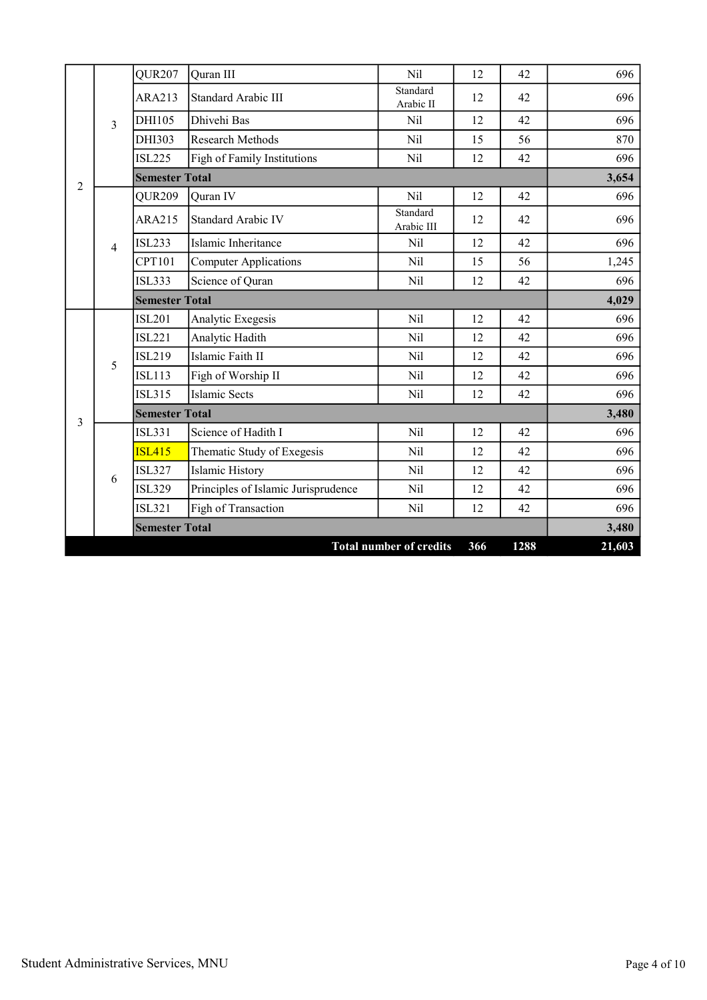|   |                | QUR <sub>207</sub>    | Quran III                           | Nil                            | 12  | 42   | 696    |
|---|----------------|-----------------------|-------------------------------------|--------------------------------|-----|------|--------|
|   |                | <b>ARA213</b>         | Standard Arabic III                 | Standard<br>Arabic II          | 12  | 42   | 696    |
|   | $\overline{3}$ | DHI105                | Dhivehi Bas                         | Nil                            | 12  | 42   | 696    |
|   |                | DHI303                | Research Methods                    | Nil                            | 15  | 56   | 870    |
|   |                | <b>ISL225</b>         | Figh of Family Institutions         | Nil                            | 12  | 42   | 696    |
| 2 |                | <b>Semester Total</b> |                                     |                                |     |      | 3,654  |
|   |                | QUR209                | Quran IV                            | Nil                            | 12  | 42   | 696    |
|   |                | <b>ARA215</b>         | Standard Arabic IV                  | Standard<br>Arabic III         | 12  | 42   | 696    |
|   | $\overline{4}$ | <b>ISL233</b>         | Islamic Inheritance                 | Nil                            | 12  | 42   | 696    |
|   |                | CPT101                | <b>Computer Applications</b>        | Nil                            | 15  | 56   | 1,245  |
|   |                | <b>ISL333</b>         | Science of Quran                    | Nil                            | 12  | 42   | 696    |
|   |                | <b>Semester Total</b> |                                     |                                |     |      | 4,029  |
|   |                | <b>ISL201</b>         | Analytic Exegesis                   | Nil                            | 12  | 42   | 696    |
|   |                | <b>ISL221</b>         | Analytic Hadith                     | Nil                            | 12  | 42   | 696    |
|   | 5              | <b>ISL219</b>         | Islamic Faith II                    | Nil                            | 12  | 42   | 696    |
|   |                | <b>ISL113</b>         | Figh of Worship II                  | Nil                            | 12  | 42   | 696    |
|   |                | <b>ISL315</b>         | <b>Islamic Sects</b>                | Nil                            | 12  | 42   | 696    |
| 3 |                | <b>Semester Total</b> |                                     |                                |     |      | 3,480  |
|   |                | <b>ISL331</b>         | Science of Hadith I                 | Nil                            | 12  | 42   | 696    |
|   |                | <b>ISL415</b>         | Thematic Study of Exegesis          | Nil                            | 12  | 42   | 696    |
|   | 6              | <b>ISL327</b>         | Islamic History                     | Nil                            | 12  | 42   | 696    |
|   |                | <b>ISL329</b>         | Principles of Islamic Jurisprudence | Nil                            | 12  | 42   | 696    |
|   |                | <b>ISL321</b>         | Figh of Transaction                 | Nil                            | 12  | 42   | 696    |
|   |                | <b>Semester Total</b> |                                     |                                |     |      | 3,480  |
|   |                |                       |                                     | <b>Total number of credits</b> | 366 | 1288 | 21,603 |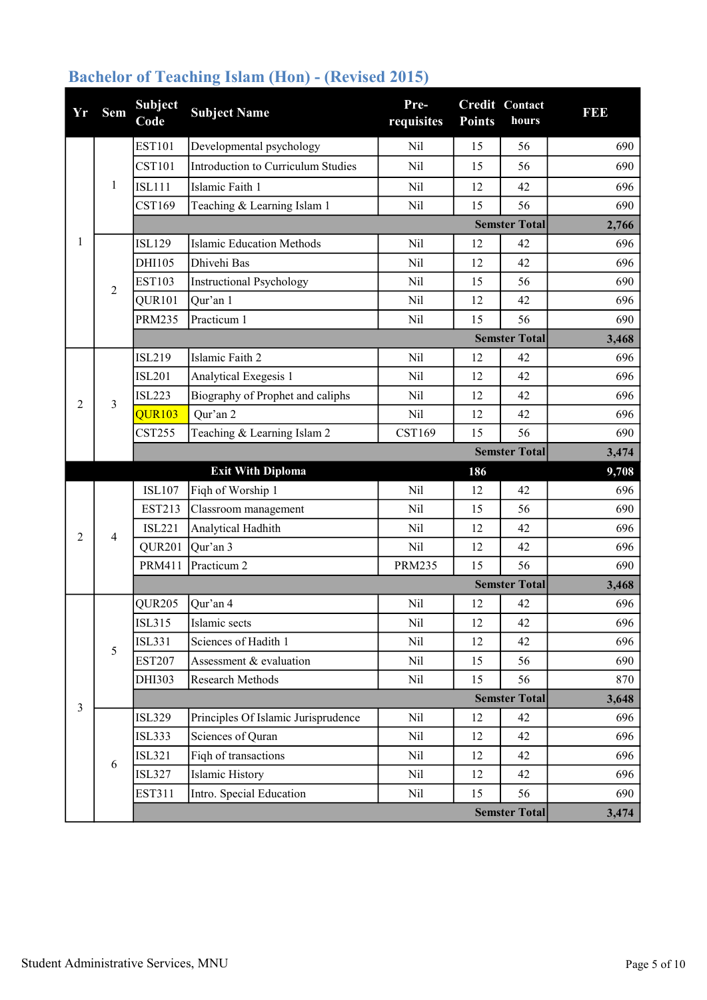| Yr             | <b>Sem</b>     | <b>Subject</b><br>Code | <b>Subject Name</b>                 | Pre-<br>requisites | <b>Points</b> | Credit Contact<br>hours | <b>BB</b> |
|----------------|----------------|------------------------|-------------------------------------|--------------------|---------------|-------------------------|-----------|
|                |                | <b>EST101</b>          | Developmental psychology            | Nil                | 15            | 56                      | 690       |
|                | $\mathbf{1}$   | <b>CST101</b>          | Introduction to Curriculum Studies  | Nil                | 15            | 56                      | 690       |
|                |                | <b>ISL111</b>          | Islamic Faith 1                     | Nil                | 12            | 42                      | 696       |
|                |                | CST169                 | Teaching & Learning Islam 1         | Nil                | 15            | 56                      | 690       |
|                |                |                        |                                     |                    |               | <b>Semster Total</b>    | 2,766     |
| 1              |                | <b>ISL129</b>          | <b>Islamic Education Methods</b>    | Nil                | 12            | 42                      | 696       |
|                |                | DHI105                 | Dhivehi Bas                         | Nil                | 12            | 42                      | 696       |
|                | $\overline{2}$ | <b>EST103</b>          | <b>Instructional Psychology</b>     | Nil                | 15            | 56                      | 690       |
|                |                | QUR101                 | Qur'an 1                            | Nil                | 12            | 42                      | 696       |
|                |                | <b>PRM235</b>          | Practicum 1                         | Nil                | 15            | 56                      | 690       |
|                |                |                        |                                     |                    |               | <b>Semster Total</b>    | 3,468     |
|                |                | <b>ISL219</b>          | Islamic Faith 2                     | Nil                | 12            | 42                      | 696       |
|                |                | <b>ISL201</b>          | Analytical Exegesis 1               | Nil                | 12            | 42                      | 696       |
| 2              | $\overline{3}$ | <b>ISL223</b>          | Biography of Prophet and caliphs    | Nil                | 12            | 42                      | 696       |
|                |                | <b>QUR103</b>          | Qur'an 2                            | Nil                | 12            | 42                      | 696       |
|                |                | <b>CST255</b>          | Teaching & Learning Islam 2         | CST169             | 15            | 56                      | 690       |
|                |                |                        |                                     |                    |               | <b>Semster Total</b>    | 3,474     |
|                |                |                        | <b>Exit With Diploma</b>            |                    | 186           |                         | 9,708     |
|                | $\overline{4}$ | <b>ISL107</b>          | Fiqh of Worship 1                   | Nil                | 12            | 42                      | 696       |
|                |                | <b>EST213</b>          | Classroom management                | Nil                | 15            | 56                      | 690       |
| 2              |                | <b>ISL221</b>          | Analytical Hadhith                  | Nil                | 12            | 42                      | 696       |
|                |                | QUR201                 | Qur'an 3                            | Nil                | 12            | 42                      | 696       |
|                |                | <b>PRM411</b>          | Practicum <sub>2</sub>              | <b>PRM235</b>      | 15            | 56                      | 690       |
|                |                |                        |                                     |                    |               | <b>Semster Total</b>    | 3,468     |
|                |                | QUR205                 | Qur'an 4                            | Nil                | 12            | 42                      | 696       |
|                |                | <b>ISL315</b>          | Islamic sects                       | Nil                | 12            | 42                      | 696       |
|                | 5              | <b>ISL331</b>          | Sciences of Hadith 1                | Nil                | 12            | 42                      | 696       |
|                |                | <b>EST207</b>          | Assessment & evaluation             | Nil                | 15            | 56                      | 690       |
|                |                | DHI303                 | Research Methods                    | Nil                | 15            | 56                      | 870       |
| $\overline{3}$ |                |                        |                                     |                    |               | <b>Semster Total</b>    | 3,648     |
|                |                | <b>ISL329</b>          | Principles Of Islamic Jurisprudence | Nil                | 12            | 42                      | 696       |
|                |                | <b>ISL333</b>          | Sciences of Quran                   | Nil                | 12            | 42                      | 696       |
|                | 6              | <b>ISL321</b>          | Fiqh of transactions                | Nil                | 12            | 42                      | 696       |
|                |                | <b>ISL327</b>          | Islamic History                     | Nil                | 12            | 42                      | 696       |
|                |                | <b>EST311</b>          | Intro. Special Education            | Nil                | 15            | 56                      | 690       |
|                |                |                        |                                     |                    |               | <b>Semster Total</b>    | 3,474     |

## Bachelor of Teaching Islam (Hon) - (Revised 2015)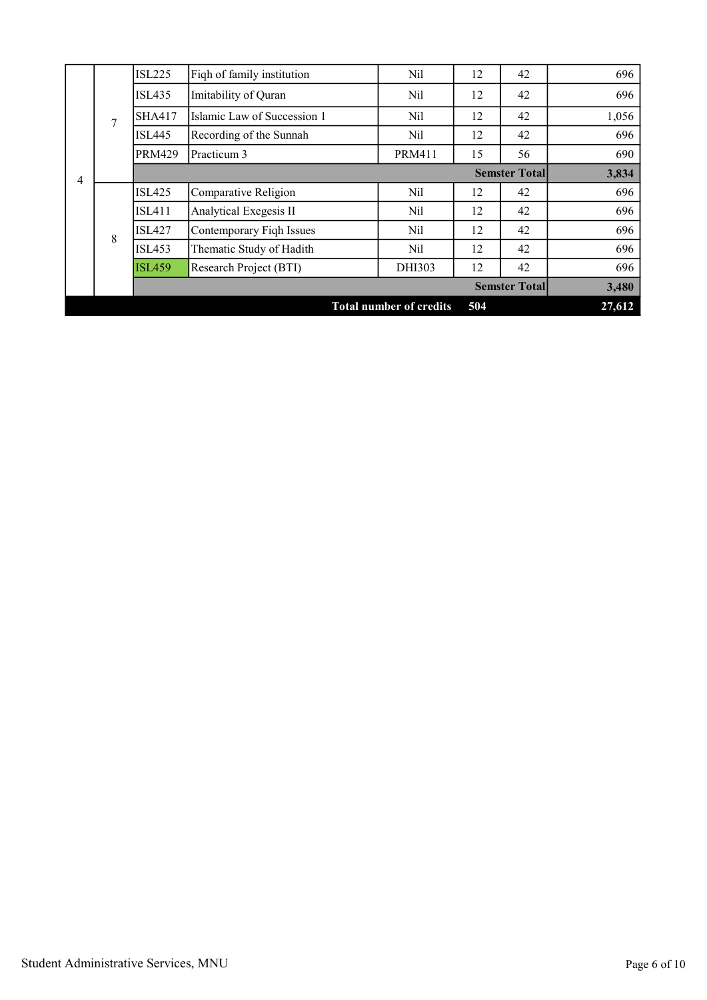|   |                | <b>ISL225</b> | Fiqh of family institution  | Nil                            | 12  | 42                   | 696    |
|---|----------------|---------------|-----------------------------|--------------------------------|-----|----------------------|--------|
|   |                | ISL435        | Imitability of Quran        | Nil                            | 12  | 42                   | 696    |
|   | $\overline{7}$ | <b>SHA417</b> | Islamic Law of Succession 1 | Nil                            | 12  | 42                   | 1,056  |
|   |                | <b>ISL445</b> | Recording of the Sunnah     | Nil                            | 12  | 42                   | 696    |
|   |                | <b>PRM429</b> | Practicum 3                 | <b>PRM411</b>                  | 15  | 56                   | 690    |
| 4 |                |               |                             |                                |     | <b>Semster Total</b> | 3,834  |
|   |                | <b>ISL425</b> | Comparative Religion        | Nil                            | 12  | 42                   | 696    |
|   |                | <b>ISL411</b> | Analytical Exegesis II      | Nil                            | 12  | 42                   | 696    |
|   | 8              | <b>ISL427</b> | Contemporary Figh Issues    | Nil                            | 12  | 42                   | 696    |
|   |                | <b>ISL453</b> | Thematic Study of Hadith    | Nil                            | 12  | 42                   | 696    |
|   |                | <b>ISL459</b> | Research Project (BTI)      | DHI303                         | 12  | 42                   | 696    |
|   |                |               |                             |                                |     | <b>Semster Total</b> | 3,480  |
|   |                |               |                             | <b>Total number of credits</b> | 504 |                      | 27,612 |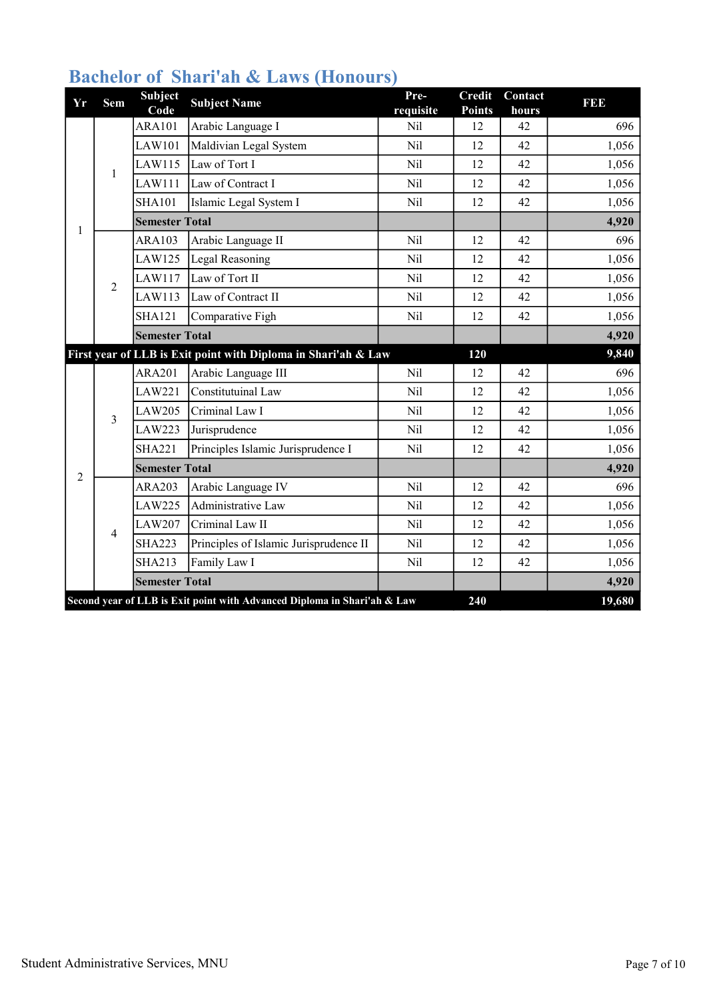| Yr                                                                              | <b>Sem</b>     | <b>Subject</b><br>Code | <b>Subject Name</b>                                            | Pre-<br>requisite | <b>Credit</b><br><b>Points</b> | Contact<br>hours | 1100            |
|---------------------------------------------------------------------------------|----------------|------------------------|----------------------------------------------------------------|-------------------|--------------------------------|------------------|-----------------|
|                                                                                 |                | <b>ARA101</b>          | Arabic Language I                                              | Nil               | 12                             | 42               | 696             |
|                                                                                 |                | <b>LAW101</b>          | Maldivian Legal System                                         | Nil               | 12                             | 42               | 1,056           |
|                                                                                 | $\mathbf{1}$   | LAW115                 | Law of Tort I                                                  | Nil               | 12                             | 42               | 1,056           |
|                                                                                 |                | LAW111                 | Law of Contract I                                              | Nil               | 12                             | 42               | 1,056           |
|                                                                                 |                | <b>SHA101</b>          | Islamic Legal System I                                         | Nil               | 12                             | 42               | 1,056           |
| 1                                                                               |                | <b>Semester Total</b>  |                                                                |                   |                                |                  | 4,920           |
|                                                                                 | $\overline{2}$ | <b>ARA103</b>          | Arabic Language II                                             | Nil               | 12                             | 42               | 696             |
|                                                                                 |                | <b>LAW125</b>          | Legal Reasoning                                                | Nil               | 12                             | 42               | 1,056           |
|                                                                                 |                | LAW117                 | Law of Tort II                                                 | Nil               | 12                             | 42               | 1,056           |
|                                                                                 |                | LAW113                 | Law of Contract II                                             | Nil               | 12                             | 42               | 1,056           |
|                                                                                 |                | <b>SHA121</b>          | Comparative Figh                                               | Nil               | 12                             | 42               | 1,056           |
|                                                                                 |                | <b>Semester Total</b>  |                                                                |                   |                                |                  | 4,920           |
|                                                                                 |                |                        | First year of LLB is Exit point with Diploma in Shari'ah & Law |                   | 120                            |                  | 9,840           |
|                                                                                 |                | <b>ARA201</b>          | Arabic Language III                                            | Nil               | 12                             | 42               | 696             |
|                                                                                 |                | <b>LAW221</b>          | Constitutuinal Law                                             | Nil               | 12                             | 42               | 1,056           |
|                                                                                 | $\overline{3}$ | <b>LAW205</b>          | Criminal Law I                                                 | Nil               | 12                             | 42               | 1,056           |
|                                                                                 |                | <b>LAW223</b>          | Jurisprudence                                                  | Nil               | 12                             | 42               | 1,056           |
|                                                                                 |                | <b>SHA221</b>          | Principles Islamic Jurisprudence I                             | Nil               | 12                             | 42               | 1,056           |
| $\overline{2}$                                                                  |                | <b>Semester Total</b>  |                                                                |                   |                                |                  | 4,920           |
|                                                                                 |                | <b>ARA203</b>          | Arabic Language IV                                             | Nil               | 12                             | 42               | 696             |
|                                                                                 |                | <b>LAW225</b>          | Administrative Law                                             | Nil               | 12                             | 42               | 1,056           |
|                                                                                 | $\overline{4}$ | <b>LAW207</b>          | Criminal Law II                                                | Nil               | 12                             | 42               | 1,056           |
|                                                                                 |                | <b>SHA223</b>          | Principles of Islamic Jurisprudence II                         | Nil               | 12                             | 42               | 1,056           |
|                                                                                 |                | <b>SHA213</b>          | Family Law I                                                   | Nil               | 12                             | 42               | 1,056           |
|                                                                                 |                | <b>Semester Total</b>  |                                                                |                   |                                |                  | 4,920<br>19,680 |
| 240<br>Second year of LLB is Exit point with Advanced Diploma in Shari'ah & Law |                |                        |                                                                |                   |                                |                  |                 |

## Bachelor of Shari'ah & Laws (Honours)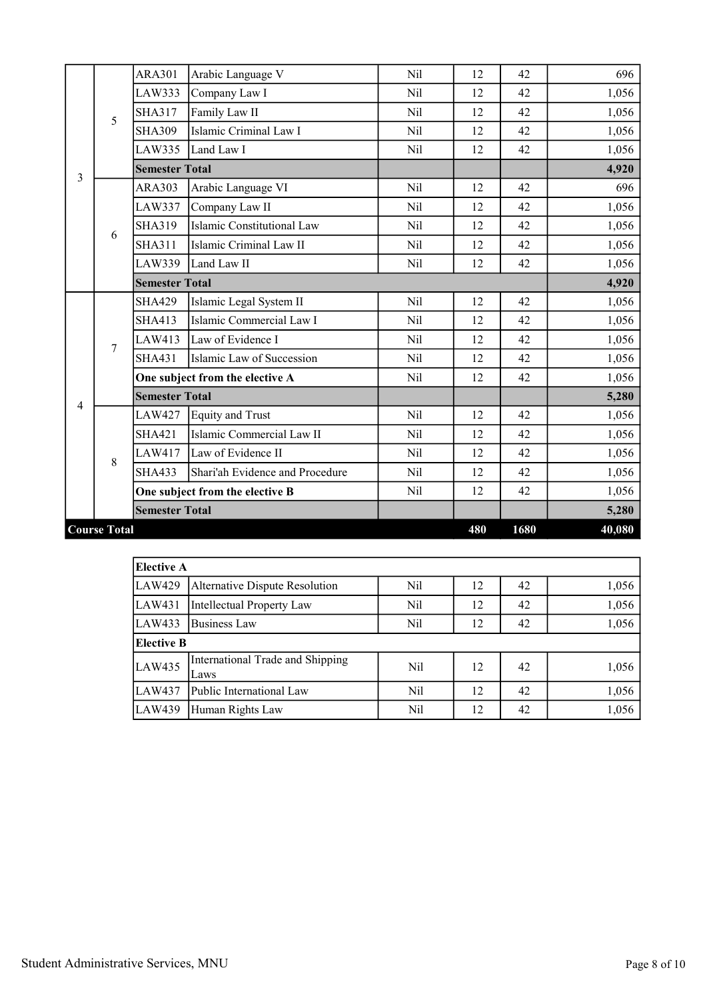|   |                     | <b>ARA301</b>         | Arabic Language V               | Nil        | 12  | 42   | 696    |
|---|---------------------|-----------------------|---------------------------------|------------|-----|------|--------|
|   |                     | LAW333                | Company Law I                   | Nil        | 12  | 42   | 1,056  |
|   | 5                   | <b>SHA317</b>         | Family Law II                   | Nil        | 12  | 42   | 1,056  |
|   |                     | <b>SHA309</b>         | Islamic Criminal Law I          | Nil        | 12  | 42   | 1,056  |
|   |                     | LAW335                | Land Law I                      | Nil        | 12  | 42   | 1,056  |
| 3 |                     | <b>Semester Total</b> |                                 |            |     |      | 4,920  |
|   |                     | <b>ARA303</b>         | Arabic Language VI              | Nil        | 12  | 42   | 696    |
|   |                     | <b>LAW337</b>         | Company Law II                  | Nil        | 12  | 42   | 1,056  |
|   | 6                   | <b>SHA319</b>         | Islamic Constitutional Law      | Nil        | 12  | 42   | 1,056  |
|   |                     | <b>SHA311</b>         | Islamic Criminal Law II         | Nil        | 12  | 42   | 1,056  |
|   |                     | LAW339                | Land Law II                     | Nil        | 12  | 42   | 1,056  |
|   |                     | <b>Semester Total</b> |                                 |            |     |      | 4,920  |
|   |                     | <b>SHA429</b>         | Islamic Legal System II         | Nil        | 12  | 42   | 1,056  |
|   | $\overline{7}$      | <b>SHA413</b>         | Islamic Commercial Law I        | Nil        | 12  | 42   | 1,056  |
|   |                     | <b>LAW413</b>         | Law of Evidence I               | <b>Nil</b> | 12  | 42   | 1,056  |
|   |                     | <b>SHA431</b>         | Islamic Law of Succession       | Nil        | 12  | 42   | 1,056  |
|   |                     |                       | One subject from the elective A | Nil        | 12  | 42   | 1,056  |
| 4 |                     | <b>Semester Total</b> |                                 |            |     |      | 5,280  |
|   |                     | <b>LAW427</b>         | Equity and Trust                | Nil        | 12  | 42   | 1,056  |
|   |                     | <b>SHA421</b>         | Islamic Commercial Law II       | Nil        | 12  | 42   | 1,056  |
|   | 8                   | LAW417                | Law of Evidence II              | Nil        | 12  | 42   | 1,056  |
|   |                     | <b>SHA433</b>         | Shari'ah Evidence and Procedure | Nil        | 12  | 42   | 1,056  |
|   |                     |                       | One subject from the elective B | Nil        | 12  | 42   | 1,056  |
|   |                     | <b>Semester Total</b> |                                 |            |     |      | 5,280  |
|   | <b>Course Total</b> |                       |                                 |            | 480 | 1680 | 40,080 |

| <b>Elective A</b>                                  |                                          |            |    |    |       |  |  |  |  |
|----------------------------------------------------|------------------------------------------|------------|----|----|-------|--|--|--|--|
| LAW429                                             | Alternative Dispute Resolution           | Nil        | 12 | 42 | 1,056 |  |  |  |  |
| LAW431                                             | Intellectual Property Law                | Nil        | 12 | 42 | 1,056 |  |  |  |  |
| 1,056<br>LAW433<br>Business Law<br>Nil<br>42<br>12 |                                          |            |    |    |       |  |  |  |  |
| <b>Elective B</b>                                  |                                          |            |    |    |       |  |  |  |  |
| LAW435                                             | International Trade and Shipping<br>Laws | Nil        | 12 | 42 | 1,056 |  |  |  |  |
| LAW437                                             | Public International Law                 | Nil        | 12 | 42 | 1,056 |  |  |  |  |
| LAW439                                             | Human Rights Law                         | <b>Nil</b> | 12 | 42 | 1,056 |  |  |  |  |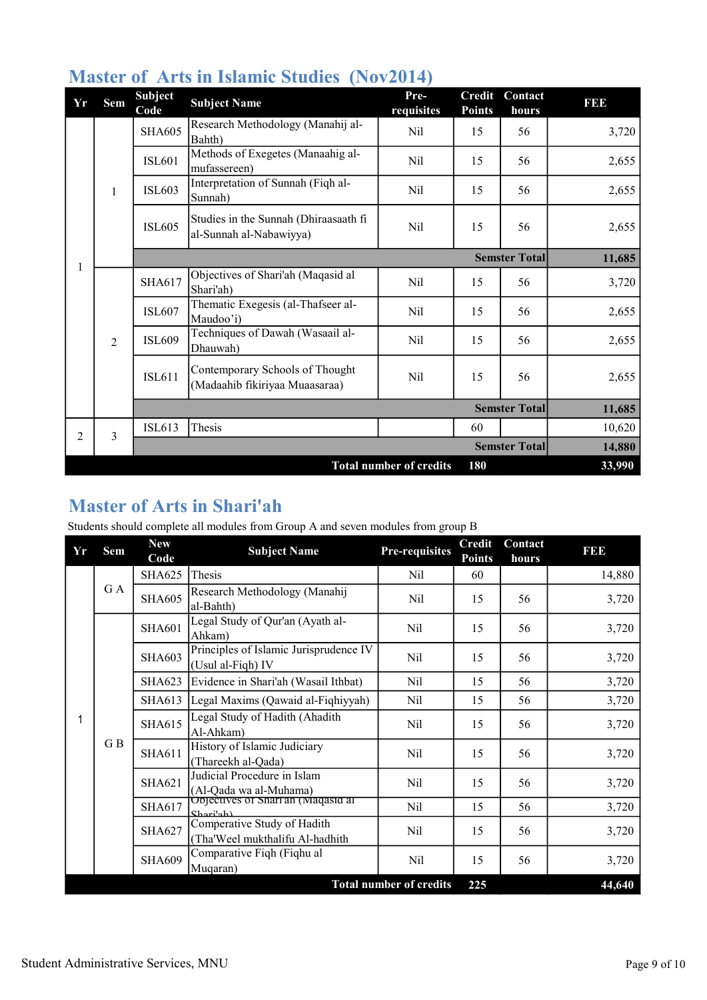| Yr | Sem            | <b>Subject</b><br>Code | <b>Subject Name</b>                                               | Pre-<br>requisites             | <b>Credit</b><br><b>Points</b> | Contact<br>hours     | <b>BB</b> |
|----|----------------|------------------------|-------------------------------------------------------------------|--------------------------------|--------------------------------|----------------------|-----------|
|    | $\mathbf{1}$   | <b>SHA605</b>          | Research Methodology (Manahij al-<br>Bahth)                       | Nil                            | 15                             | 56                   | 3,720     |
|    |                | <b>ISL601</b>          | Methods of Exegetes (Manaahig al-<br>mufassereen)                 | <b>Nil</b>                     | 15                             | 56                   | 2,655     |
|    |                | <b>ISL603</b>          | Interpretation of Sunnah (Fiqh al-<br>Sunnah)                     | <b>Nil</b>                     | 15                             | 56                   | 2,655     |
|    |                | <b>ISL605</b>          | Studies in the Sunnah (Dhiraasaath fi<br>al-Sunnah al-Nabawiyya)  | Nil                            | 15                             | 56                   | 2,655     |
|    |                |                        |                                                                   |                                | <b>Semster Total</b>           |                      | 11,685    |
| 1  | $\overline{2}$ | <b>SHA617</b>          | Objectives of Shari'ah (Maqasid al<br>Shari'ah)                   | Nil                            | 15                             | 56                   | 3,720     |
|    |                | <b>ISL607</b>          | Thematic Exegesis (al-Thafseer al-<br>Maudoo'i)                   | Nil                            | 15                             | 56                   | 2,655     |
|    |                | <b>ISL609</b>          | Techniques of Dawah (Wasaail al-<br>Dhauwah)                      | <b>Nil</b>                     | 15                             | 56                   | 2,655     |
|    |                | <b>ISL611</b>          | Contemporary Schools of Thought<br>(Madaahib fikiriyaa Muaasaraa) | Nil                            | 15                             | 56                   | 2,655     |
|    |                |                        |                                                                   |                                |                                | <b>Semster Total</b> | 11,685    |
| 2  | $\overline{3}$ | <b>ISL613</b>          | Thesis                                                            |                                | 60                             |                      | 10,620    |
|    |                |                        |                                                                   |                                |                                | <b>Semster Total</b> | 14,880    |
|    |                |                        |                                                                   | <b>Total number of credits</b> | 180                            |                      | 33,990    |

## Master of Arts in Islamic Studies (Nov2014)

## Master of Arts in Shari'ah

Students should complete all modules from Group A and seven modules from group B

| Yr | <b>Sem</b>                            | <b>New</b><br>Code | <b>Subject Name</b>                                            | <b>Pre-requisites</b> | <b>Credit</b><br><b>Points</b> | Contact<br>hours | <b>BB</b> |
|----|---------------------------------------|--------------------|----------------------------------------------------------------|-----------------------|--------------------------------|------------------|-----------|
|    | G A                                   | <b>SHA625</b>      | Thesis                                                         | Nil                   | 60                             |                  | 14,880    |
|    |                                       | <b>SHA605</b>      | Research Methodology (Manahij<br>al-Bahth)                     | Nil                   | 15                             | 56               | 3,720     |
|    | GB                                    | <b>SHA601</b>      | Legal Study of Qur'an (Ayath al-<br>Ahkam)                     | Nil                   | 15                             | 56               | 3,720     |
|    |                                       | <b>SHA603</b>      | Principles of Islamic Jurisprudence IV<br>(Usul al-Fiqh) IV    | Nil                   | 15                             | 56               | 3,720     |
|    |                                       | <b>SHA623</b>      | Evidence in Shari'ah (Wasail Ithbat)                           | Nil                   | 15                             | 56               | 3,720     |
|    |                                       | SHA613             | Legal Maxims (Qawaid al-Fiqhiyyah)                             | Nil                   | 15                             | 56               | 3,720     |
|    |                                       | <b>SHA615</b>      | Legal Study of Hadith (Ahadith<br>Al-Ahkam)                    | Nil                   | 15                             | 56               | 3,720     |
|    |                                       | <b>SHA611</b>      | History of Islamic Judiciary<br>(Thareekh al-Qada)             | Nil                   | 15                             | 56               | 3,720     |
|    |                                       | <b>SHA621</b>      | Judicial Procedure in Islam<br>(Al-Qada wa al-Muhama)          | Nil                   | 15                             | 56               | 3,720     |
|    |                                       | SHA617             | Objectives of Shari'an (Maqasid al<br>Shar <sub>i</sub> ah     | Nil                   | 15                             | 56               | 3,720     |
|    |                                       | <b>SHA627</b>      | Comperative Study of Hadith<br>(Tha'Weel mukthalifu Al-hadhith | Nil                   | 15                             | 56               | 3,720     |
|    |                                       | <b>SHA609</b>      | Comparative Fiqh (Fiqhu al<br>Muqaran)                         | Nil                   | 15                             | 56               | 3,720     |
|    | <b>Total number of credits</b><br>225 |                    |                                                                |                       |                                | 44,640           |           |